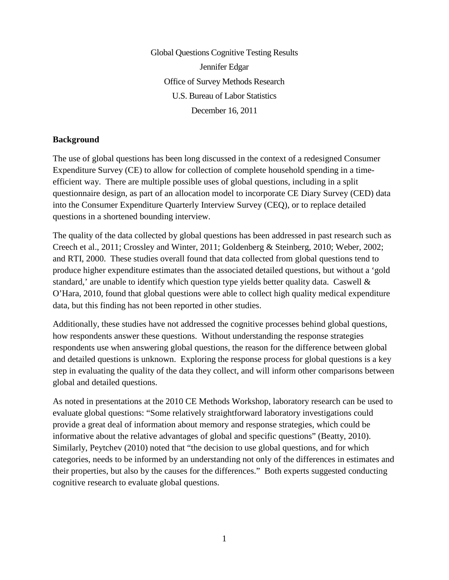Global Questions Cognitive Testing Results Jennifer Edgar Office of Survey Methods Research U.S. Bureau of Labor Statistics December 16, 2011

#### **Background**

The use of global questions has been long discussed in the context of a redesigned Consumer Expenditure Survey (CE) to allow for collection of complete household spending in a timeefficient way. There are multiple possible uses of global questions, including in a split questionnaire design, as part of an allocation model to incorporate CE Diary Survey (CED) data into the Consumer Expenditure Quarterly Interview Survey (CEQ), or to replace detailed questions in a shortened bounding interview.

The quality of the data collected by global questions has been addressed in past research such as Creech et al., 2011; Crossley and Winter, 2011; Goldenberg & Steinberg, 2010; Weber, 2002; and RTI, 2000. These studies overall found that data collected from global questions tend to produce higher expenditure estimates than the associated detailed questions, but without a 'gold standard,' are unable to identify which question type yields better quality data. Caswell & O'Hara, 2010, found that global questions were able to collect high quality medical expenditure data, but this finding has not been reported in other studies.

Additionally, these studies have not addressed the cognitive processes behind global questions, how respondents answer these questions. Without understanding the response strategies respondents use when answering global questions, the reason for the difference between global and detailed questions is unknown. Exploring the response process for global questions is a key step in evaluating the quality of the data they collect, and will inform other comparisons between global and detailed questions.

As noted in presentations at the 2010 CE Methods Workshop, laboratory research can be used to evaluate global questions: "Some relatively straightforward laboratory investigations could provide a great deal of information about memory and response strategies, which could be informative about the relative advantages of global and specific questions" (Beatty, 2010). Similarly, Peytchev (2010) noted that "the decision to use global questions, and for which categories, needs to be informed by an understanding not only of the differences in estimates and their properties, but also by the causes for the differences." Both experts suggested conducting cognitive research to evaluate global questions.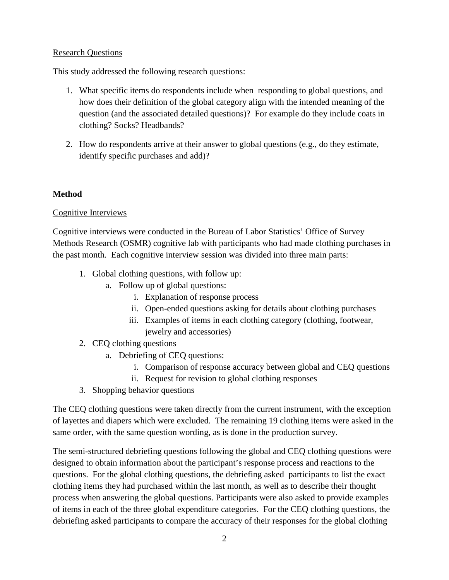#### Research Questions

This study addressed the following research questions:

- 1. What specific items do respondents include when responding to global questions, and how does their definition of the global category align with the intended meaning of the question (and the associated detailed questions)? For example do they include coats in clothing? Socks? Headbands?
- 2. How do respondents arrive at their answer to global questions (e.g., do they estimate, identify specific purchases and add)?

## **Method**

## Cognitive Interviews

Cognitive interviews were conducted in the Bureau of Labor Statistics' Office of Survey Methods Research (OSMR) cognitive lab with participants who had made clothing purchases in the past month. Each cognitive interview session was divided into three main parts:

- 1. Global clothing questions, with follow up:
	- a. Follow up of global questions:
		- i. Explanation of response process
		- ii. Open-ended questions asking for details about clothing purchases
		- iii. Examples of items in each clothing category (clothing, footwear, jewelry and accessories)
- 2. CEQ clothing questions
	- a. Debriefing of CEQ questions:
		- i. Comparison of response accuracy between global and CEQ questions
		- ii. Request for revision to global clothing responses
- 3. Shopping behavior questions

The CEQ clothing questions were taken directly from the current instrument, with the exception of layettes and diapers which were excluded. The remaining 19 clothing items were asked in the same order, with the same question wording, as is done in the production survey.

The semi-structured debriefing questions following the global and CEQ clothing questions were designed to obtain information about the participant's response process and reactions to the questions. For the global clothing questions, the debriefing asked participants to list the exact clothing items they had purchased within the last month, as well as to describe their thought process when answering the global questions. Participants were also asked to provide examples of items in each of the three global expenditure categories. For the CEQ clothing questions, the debriefing asked participants to compare the accuracy of their responses for the global clothing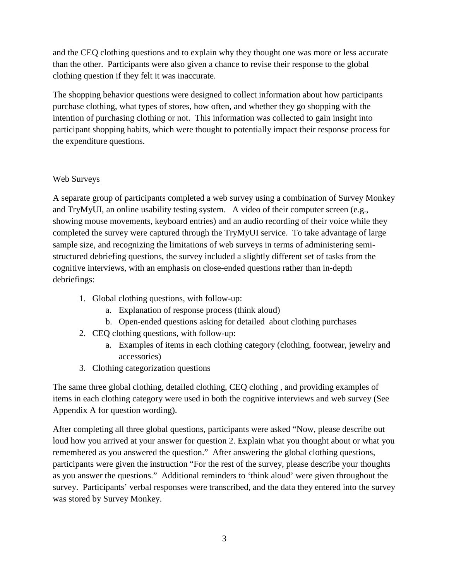and the CEQ clothing questions and to explain why they thought one was more or less accurate than the other. Participants were also given a chance to revise their response to the global clothing question if they felt it was inaccurate.

The shopping behavior questions were designed to collect information about how participants purchase clothing, what types of stores, how often, and whether they go shopping with the intention of purchasing clothing or not. This information was collected to gain insight into participant shopping habits, which were thought to potentially impact their response process for the expenditure questions.

## Web Surveys

A separate group of participants completed a web survey using a combination of Survey Monkey and TryMyUI, an online usability testing system. A video of their computer screen (e.g., showing mouse movements, keyboard entries) and an audio recording of their voice while they completed the survey were captured through the TryMyUI service. To take advantage of large sample size, and recognizing the limitations of web surveys in terms of administering semistructured debriefing questions, the survey included a slightly different set of tasks from the cognitive interviews, with an emphasis on close-ended questions rather than in-depth debriefings:

- 1. Global clothing questions, with follow-up:
	- a. Explanation of response process (think aloud)
	- b. Open-ended questions asking for detailed about clothing purchases
- 2. CEQ clothing questions, with follow-up:
	- a. Examples of items in each clothing category (clothing, footwear, jewelry and accessories)
- 3. Clothing categorization questions

The same three global clothing, detailed clothing, CEQ clothing , and providing examples of items in each clothing category were used in both the cognitive interviews and web survey (See Appendix A for question wording).

After completing all three global questions, participants were asked "Now, please describe out loud how you arrived at your answer for question 2. Explain what you thought about or what you remembered as you answered the question." After answering the global clothing questions, participants were given the instruction ["For the rest of the survey, please describe your thoughts](http://surveymonkey.com/MySurvey_EditPage.aspx?sm=ZP5Dwt%2feTUrESmkr0ZDTeRTnkLz9E43UcwRBvmx53KipMs839trhvrZ34E68%2bdOK&TB_iframe=true&height=450&width=650)  [as you answer the questions."](http://surveymonkey.com/MySurvey_EditPage.aspx?sm=ZP5Dwt%2feTUrESmkr0ZDTeRTnkLz9E43UcwRBvmx53KipMs839trhvrZ34E68%2bdOK&TB_iframe=true&height=450&width=650) Additional reminders to 'think aloud' were given throughout the survey. Participants' verbal responses were transcribed, and the data they entered into the survey was stored by Survey Monkey.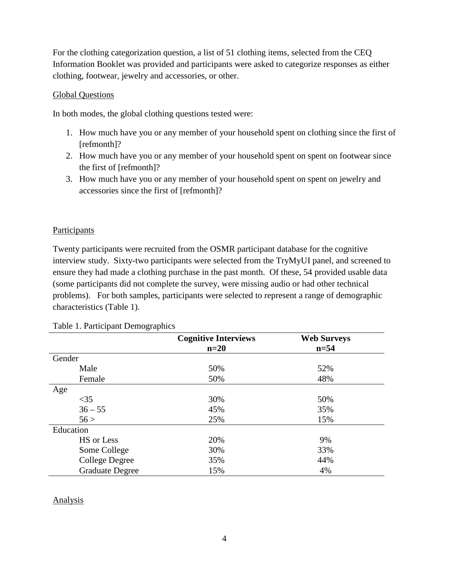For the clothing categorization question, a list of 51 clothing items, selected from the CEQ Information Booklet was provided and participants were asked to categorize responses as either clothing, footwear, jewelry and accessories, or other.

#### Global Questions

In both modes, the global clothing questions tested were:

- 1. How much have you or any member of your household spent on clothing since the first of [refmonth]?
- 2. How much have you or any member of your household spent on spent on footwear since the first of [refmonth]?
- 3. How much have you or any member of your household spent on spent on jewelry and accessories since the first of [refmonth]?

## Participants

Twenty participants were recruited from the OSMR participant database for the cognitive interview study. Sixty-two participants were selected from the TryMyUI panel, and screened to ensure they had made a clothing purchase in the past month. Of these, 54 provided usable data (some participants did not complete the survey, were missing audio or had other technical problems). For both samples, participants were selected to represent a range of demographic characteristics (Table 1).

|                        | <b>Cognitive Interviews</b> | <b>Web Surveys</b> |
|------------------------|-----------------------------|--------------------|
|                        | $n=20$                      | $n = 54$           |
| Gender                 |                             |                    |
| Male                   | 50%                         | 52%                |
| Female                 | 50%                         | 48%                |
| Age                    |                             |                    |
| $\leq$ 35              | 30%                         | 50%                |
| $36 - 55$              | 45%                         | 35%                |
| 56 >                   | 25%                         | 15%                |
| Education              |                             |                    |
| HS or Less             | 20%                         | 9%                 |
| Some College           | 30%                         | 33%                |
| <b>College Degree</b>  | 35%                         | 44%                |
| <b>Graduate Degree</b> | 15%                         | 4%                 |

## Analysis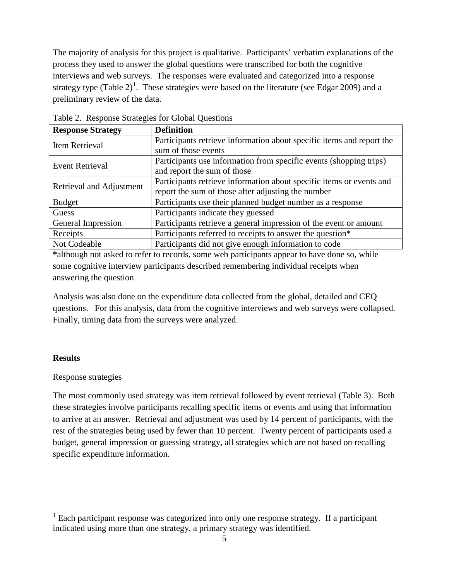The majority of analysis for this project is qualitative. Participants' verbatim explanations of the process they used to answer the global questions were transcribed for both the cognitive interviews and web surveys. The responses were evaluated and categorized into a response strategy type (Table 2)<sup>[1](#page-4-0)</sup>. These strategies were based on the literature (see Edgar 2009) and a preliminary review of the data.

| <b>Response Strategy</b> | <b>Definition</b>                                                     |
|--------------------------|-----------------------------------------------------------------------|
| Item Retrieval           | Participants retrieve information about specific items and report the |
|                          | sum of those events                                                   |
| <b>Event Retrieval</b>   | Participants use information from specific events (shopping trips)    |
|                          | and report the sum of those                                           |
| Retrieval and Adjustment | Participants retrieve information about specific items or events and  |
|                          | report the sum of those after adjusting the number                    |
| <b>Budget</b>            | Participants use their planned budget number as a response            |
| Guess                    | Participants indicate they guessed                                    |
| General Impression       | Participants retrieve a general impression of the event or amount     |
| Receipts                 | Participants referred to receipts to answer the question*             |
| Not Codeable             | Participants did not give enough information to code                  |

Table 2. Response Strategies for Global Questions

**\***although not asked to refer to records, some web participants appear to have done so, while some cognitive interview participants described remembering individual receipts when answering the question

Analysis was also done on the expenditure data collected from the global, detailed and CEQ questions. For this analysis, data from the cognitive interviews and web surveys were collapsed. Finally, timing data from the surveys were analyzed.

## **Results**

## Response strategies

The most commonly used strategy was item retrieval followed by event retrieval (Table 3). Both these strategies involve participants recalling specific items or events and using that information to arrive at an answer. Retrieval and adjustment was used by 14 percent of participants, with the rest of the strategies being used by fewer than 10 percent. Twenty percent of participants used a budget, general impression or guessing strategy, all strategies which are not based on recalling specific expenditure information.

<span id="page-4-0"></span><sup>&</sup>lt;sup>1</sup> Each participant response was categorized into only one response strategy. If a participant indicated using more than one strategy, a primary strategy was identified.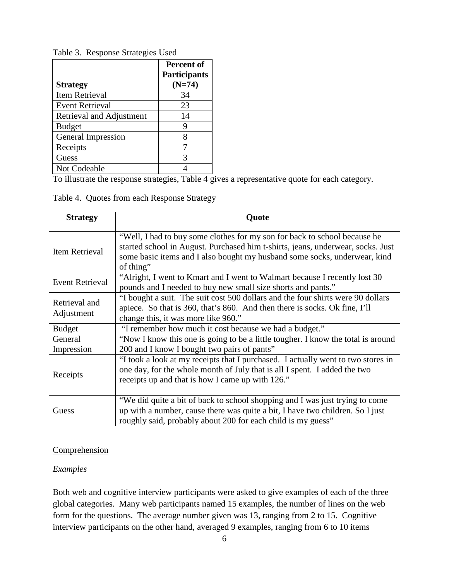|                          | Percent of<br><b>Participants</b> |
|--------------------------|-----------------------------------|
| <b>Strategy</b>          | $(N=74)$                          |
| Item Retrieval           | 34                                |
| <b>Event Retrieval</b>   | 23                                |
| Retrieval and Adjustment | 14                                |
| <b>Budget</b>            |                                   |
| General Impression       | 8                                 |
| Receipts                 |                                   |
| Guess                    |                                   |
| Not Codeable             |                                   |

Table 3. Response Strategies Used

To illustrate the response strategies, Table 4 gives a representative quote for each category.

Table 4. Quotes from each Response Strategy

| <b>Strategy</b>             | Quote                                                                                                                                                                                                                                                  |
|-----------------------------|--------------------------------------------------------------------------------------------------------------------------------------------------------------------------------------------------------------------------------------------------------|
| Item Retrieval              | "Well, I had to buy some clothes for my son for back to school because he<br>started school in August. Purchased him t-shirts, jeans, underwear, socks. Just<br>some basic items and I also bought my husband some socks, underwear, kind<br>of thing" |
| <b>Event Retrieval</b>      | "Alright, I went to Kmart and I went to Walmart because I recently lost 30<br>pounds and I needed to buy new small size shorts and pants."                                                                                                             |
| Retrieval and<br>Adjustment | "I bought a suit. The suit cost 500 dollars and the four shirts were 90 dollars<br>apiece. So that is 360, that's 860. And then there is socks. Ok fine, I'll<br>change this, it was more like 960."                                                   |
| <b>Budget</b>               | "I remember how much it cost because we had a budget."                                                                                                                                                                                                 |
| General<br>Impression       | "Now I know this one is going to be a little tougher. I know the total is around<br>200 and I know I bought two pairs of pants"                                                                                                                        |
| Receipts                    | "I took a look at my receipts that I purchased. I actually went to two stores in<br>one day, for the whole month of July that is all I spent. I added the two<br>receipts up and that is how I came up with 126."                                      |
| Guess                       | "We did quite a bit of back to school shopping and I was just trying to come<br>up with a number, cause there was quite a bit, I have two children. So I just<br>roughly said, probably about 200 for each child is my guess"                          |

## **Comprehension**

# *Examples*

Both web and cognitive interview participants were asked to give examples of each of the three global categories. Many web participants named 15 examples, the number of lines on the web form for the questions. The average number given was 13, ranging from 2 to 15. Cognitive interview participants on the other hand, averaged 9 examples, ranging from 6 to 10 items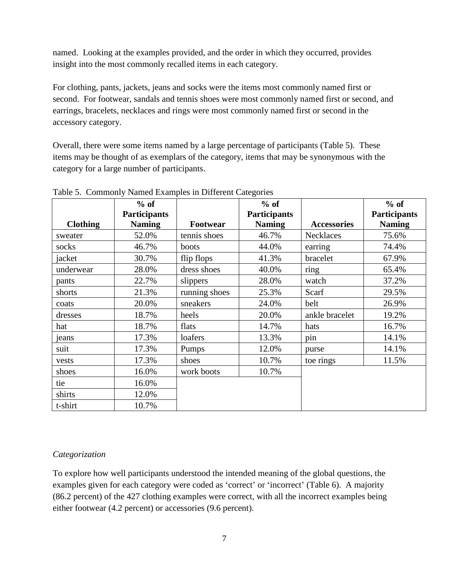named. Looking at the examples provided, and the order in which they occurred, provides insight into the most commonly recalled items in each category.

For clothing, pants, jackets, jeans and socks were the items most commonly named first or second. For footwear, sandals and tennis shoes were most commonly named first or second, and earrings, bracelets, necklaces and rings were most commonly named first or second in the accessory category.

Overall, there were some items named by a large percentage of participants (Table 5). These items may be thought of as exemplars of the category, items that may be synonymous with the category for a large number of participants.

|                 | $%$ of<br><b>Participants</b> |               | $%$ of<br><b>Participants</b> |                    | $%$ of<br><b>Participants</b> |
|-----------------|-------------------------------|---------------|-------------------------------|--------------------|-------------------------------|
| <b>Clothing</b> | <b>Naming</b>                 | Footwear      | <b>Naming</b>                 | <b>Accessories</b> | <b>Naming</b>                 |
| sweater         | 52.0%                         | tennis shoes  | 46.7%                         | Necklaces          | 75.6%                         |
| socks           | 46.7%                         | boots         | 44.0%                         | earring            | 74.4%                         |
| jacket          | 30.7%                         | flip flops    | 41.3%                         | bracelet           | 67.9%                         |
| underwear       | 28.0%                         | dress shoes   | 40.0%                         | ring               | 65.4%                         |
| pants           | 22.7%                         | slippers      | 28.0%                         | watch              | 37.2%                         |
| shorts          | 21.3%                         | running shoes | 25.3%                         | Scarf              | 29.5%                         |
| coats           | 20.0%                         | sneakers      | 24.0%                         | belt               | 26.9%                         |
| dresses         | 18.7%                         | heels         | 20.0%                         | ankle bracelet     | 19.2%                         |
| hat             | 18.7%                         | flats         | 14.7%                         | hats               | 16.7%                         |
| jeans           | 17.3%                         | loafers       | 13.3%                         | pin                | 14.1%                         |
| suit            | 17.3%                         | Pumps         | 12.0%                         | purse              | 14.1%                         |
| vests           | 17.3%                         | shoes         | 10.7%                         | toe rings          | 11.5%                         |
| shoes           | 16.0%                         | work boots    | 10.7%                         |                    |                               |
| tie             | 16.0%                         |               |                               |                    |                               |
| shirts          | 12.0%                         |               |                               |                    |                               |
| t-shirt         | 10.7%                         |               |                               |                    |                               |

Table 5. Commonly Named Examples in Different Categories

# *Categorization*

To explore how well participants understood the intended meaning of the global questions, the examples given for each category were coded as 'correct' or 'incorrect' (Table 6). A majority (86.2 percent) of the 427 clothing examples were correct, with all the incorrect examples being either footwear (4.2 percent) or accessories (9.6 percent).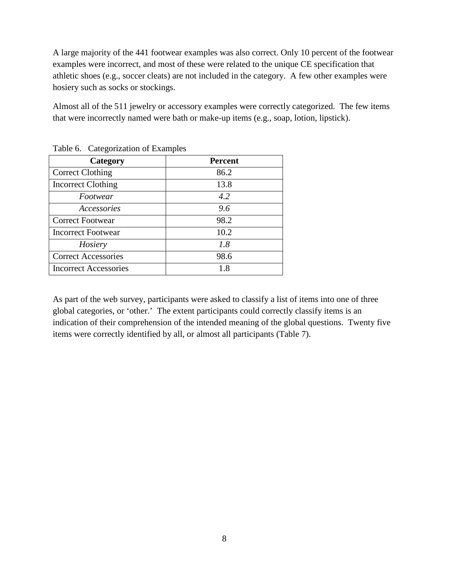A large majority of the 441 footwear examples was also correct. Only 10 percent of the footwear examples were incorrect, and most of these were related to the unique CE specification that athletic shoes (e.g., soccer cleats) are not included in the category. A few other examples were hosiery such as socks or stockings.

Almost all of the 511 jewelry or accessory examples were correctly categorized. The few items that were incorrectly named were bath or make-up items (e.g., soap, lotion, lipstick).

| Category                     | <b>Percent</b> |
|------------------------------|----------------|
| <b>Correct Clothing</b>      | 86.2           |
| <b>Incorrect Clothing</b>    | 13.8           |
| Footwear                     | 4.2            |
| Accessories                  | 9.6            |
| <b>Correct Footwear</b>      | 98.2           |
| <b>Incorrect Footwear</b>    | 10.2           |
| Hosiery                      | 1.8            |
| <b>Correct Accessories</b>   | 98.6           |
| <b>Incorrect Accessories</b> | 1.8            |

Table 6. Categorization of Examples

As part of the web survey, participants were asked to classify a list of items into one of three global categories, or 'other.' The extent participants could correctly classify items is an indication of their comprehension of the intended meaning of the global questions. Twenty five items were correctly identified by all, or almost all participants (Table 7).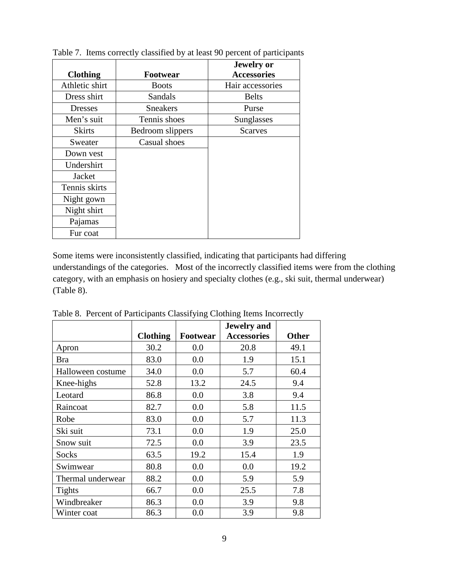|                 |                  | <b>Jewelry</b> or  |
|-----------------|------------------|--------------------|
| <b>Clothing</b> | Footwear         | <b>Accessories</b> |
| Athletic shirt  | <b>Boots</b>     | Hair accessories   |
| Dress shirt     | Sandals          | <b>Belts</b>       |
| <b>Dresses</b>  | <b>Sneakers</b>  | Purse              |
| Men's suit      | Tennis shoes     | Sunglasses         |
| <b>Skirts</b>   | Bedroom slippers | <b>Scarves</b>     |
| Sweater         | Casual shoes     |                    |
| Down vest       |                  |                    |
| Undershirt      |                  |                    |
| Jacket          |                  |                    |
| Tennis skirts   |                  |                    |
| Night gown      |                  |                    |
| Night shirt     |                  |                    |
| Pajamas         |                  |                    |
| Fur coat        |                  |                    |

Table 7. Items correctly classified by at least 90 percent of participants

Some items were inconsistently classified, indicating that participants had differing understandings of the categories. Most of the incorrectly classified items were from the clothing category, with an emphasis on hosiery and specialty clothes (e.g., ski suit, thermal underwear) (Table 8).

|                   |                 |          | Jewelry and        |              |
|-------------------|-----------------|----------|--------------------|--------------|
|                   | <b>Clothing</b> | Footwear | <b>Accessories</b> | <b>Other</b> |
| Apron             | 30.2            | 0.0      | 20.8               | 49.1         |
| <b>Bra</b>        | 83.0            | 0.0      | 1.9                | 15.1         |
| Halloween costume | 34.0            | 0.0      | 5.7                | 60.4         |
| Knee-highs        | 52.8            | 13.2     | 24.5               | 9.4          |
| Leotard           | 86.8            | 0.0      | 3.8                | 9.4          |
| Raincoat          | 82.7            | 0.0      | 5.8                | 11.5         |
| Robe              | 83.0            | 0.0      | 5.7                | 11.3         |
| Ski suit          | 73.1            | 0.0      | 1.9                | 25.0         |
| Snow suit         | 72.5            | 0.0      | 3.9                | 23.5         |
| Socks             | 63.5            | 19.2     | 15.4               | 1.9          |
| Swimwear          | 80.8            | 0.0      | 0.0                | 19.2         |
| Thermal underwear | 88.2            | 0.0      | 5.9                | 5.9          |
| <b>Tights</b>     | 66.7            | 0.0      | 25.5               | 7.8          |
| Windbreaker       | 86.3            | 0.0      | 3.9                | 9.8          |
| Winter coat       | 86.3            | 0.0      | 3.9                | 9.8          |

Table 8. Percent of Participants Classifying Clothing Items Incorrectly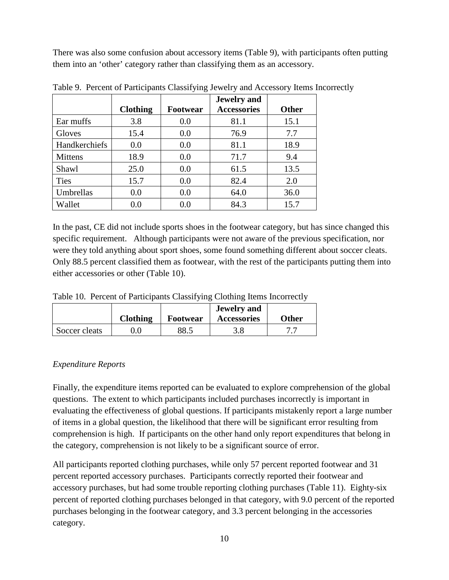There was also some confusion about accessory items (Table 9), with participants often putting them into an 'other' category rather than classifying them as an accessory.

|                |                 |                 | <b>Jewelry</b> and |              |
|----------------|-----------------|-----------------|--------------------|--------------|
|                | <b>Clothing</b> | <b>Footwear</b> | <b>Accessories</b> | <b>Other</b> |
| Ear muffs      | 3.8             | 0.0             | 81.1               | 15.1         |
| Gloves         | 15.4            | 0.0             | 76.9               | 7.7          |
| Handkerchiefs  | 0.0             | 0.0             | 81.1               | 18.9         |
| <b>Mittens</b> | 18.9            | 0.0             | 71.7               | 9.4          |
| Shawl          | 25.0            | 0.0             | 61.5               | 13.5         |
| <b>Ties</b>    | 15.7            | 0.0             | 82.4               | 2.0          |
| Umbrellas      | 0.0             | 0.0             | 64.0               | 36.0         |
| Wallet         | 0.0             | 0.0             | 84.3               | 15.7         |

Table 9. Percent of Participants Classifying Jewelry and Accessory Items Incorrectly

In the past, CE did not include sports shoes in the footwear category, but has since changed this specific requirement. Although participants were not aware of the previous specification, nor were they told anything about sport shoes, some found something different about soccer cleats. Only 88.5 percent classified them as footwear, with the rest of the participants putting them into either accessories or other (Table 10).

Table 10. Percent of Participants Classifying Clothing Items Incorrectly

|               | <b>Clothing</b> | <b>Footwear</b> | <b>Jewelry</b> and<br><b>Accessories</b> | <b>Other</b> |
|---------------|-----------------|-----------------|------------------------------------------|--------------|
| Soccer cleats |                 | 88.5            |                                          | 77           |

# *Expenditure Reports*

Finally, the expenditure items reported can be evaluated to explore comprehension of the global questions. The extent to which participants included purchases incorrectly is important in evaluating the effectiveness of global questions. If participants mistakenly report a large number of items in a global question, the likelihood that there will be significant error resulting from comprehension is high. If participants on the other hand only report expenditures that belong in the category, comprehension is not likely to be a significant source of error.

All participants reported clothing purchases, while only 57 percent reported footwear and 31 percent reported accessory purchases. Participants correctly reported their footwear and accessory purchases, but had some trouble reporting clothing purchases (Table 11). Eighty-six percent of reported clothing purchases belonged in that category, with 9.0 percent of the reported purchases belonging in the footwear category, and 3.3 percent belonging in the accessories category.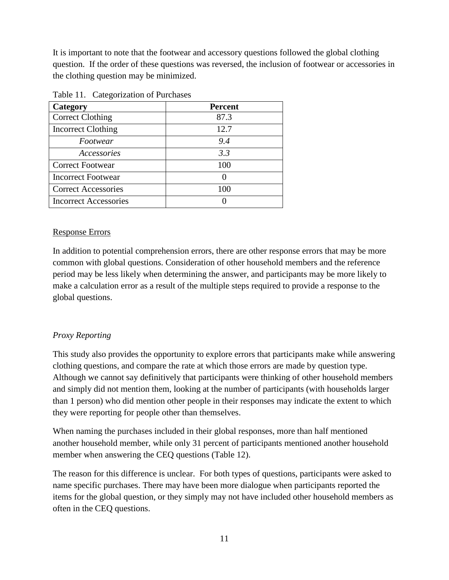It is important to note that the footwear and accessory questions followed the global clothing question. If the order of these questions was reversed, the inclusion of footwear or accessories in the clothing question may be minimized.

| Category                     | <b>Percent</b> |
|------------------------------|----------------|
| <b>Correct Clothing</b>      | 87.3           |
| <b>Incorrect Clothing</b>    | 12.7           |
| Footwear                     | 9.4            |
| Accessories                  | 3.3            |
| <b>Correct Footwear</b>      | 100            |
| <b>Incorrect Footwear</b>    |                |
| <b>Correct Accessories</b>   | 100            |
| <b>Incorrect Accessories</b> |                |

Table 11. Categorization of Purchases

#### Response Errors

In addition to potential comprehension errors, there are other response errors that may be more common with global questions. Consideration of other household members and the reference period may be less likely when determining the answer, and participants may be more likely to make a calculation error as a result of the multiple steps required to provide a response to the global questions.

## *Proxy Reporting*

This study also provides the opportunity to explore errors that participants make while answering clothing questions, and compare the rate at which those errors are made by question type. Although we cannot say definitively that participants were thinking of other household members and simply did not mention them, looking at the number of participants (with households larger than 1 person) who did mention other people in their responses may indicate the extent to which they were reporting for people other than themselves.

When naming the purchases included in their global responses, more than half mentioned another household member, while only 31 percent of participants mentioned another household member when answering the CEQ questions (Table 12).

The reason for this difference is unclear. For both types of questions, participants were asked to name specific purchases. There may have been more dialogue when participants reported the items for the global question, or they simply may not have included other household members as often in the CEQ questions.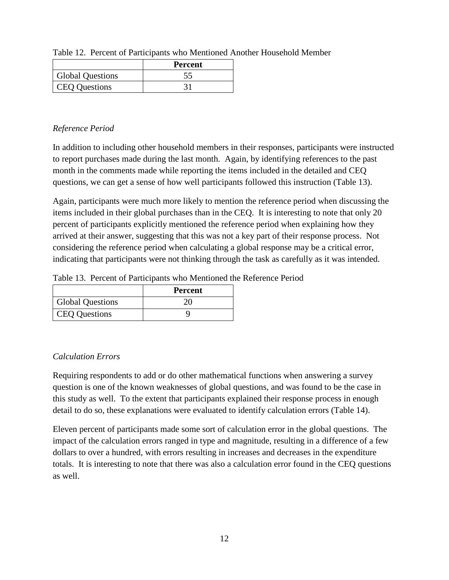|                         | <b>Percent</b> |  |  |
|-------------------------|----------------|--|--|
| <b>Global Questions</b> |                |  |  |
| <b>CEQ Questions</b>    |                |  |  |

Table 12. Percent of Participants who Mentioned Another Household Member

## *Reference Period*

In addition to including other household members in their responses, participants were instructed to report purchases made during the last month. Again, by identifying references to the past month in the comments made while reporting the items included in the detailed and CEQ questions, we can get a sense of how well participants followed this instruction (Table 13).

Again, participants were much more likely to mention the reference period when discussing the items included in their global purchases than in the CEQ. It is interesting to note that only 20 percent of participants explicitly mentioned the reference period when explaining how they arrived at their answer, suggesting that this was not a key part of their response process. Not considering the reference period when calculating a global response may be a critical error, indicating that participants were not thinking through the task as carefully as it was intended.

Table 13. Percent of Participants who Mentioned the Reference Period

|                         | <b>Percent</b> |
|-------------------------|----------------|
| <b>Global Questions</b> |                |
| <b>CEQ Questions</b>    |                |

# *Calculation Errors*

Requiring respondents to add or do other mathematical functions when answering a survey question is one of the known weaknesses of global questions, and was found to be the case in this study as well. To the extent that participants explained their response process in enough detail to do so, these explanations were evaluated to identify calculation errors (Table 14).

Eleven percent of participants made some sort of calculation error in the global questions. The impact of the calculation errors ranged in type and magnitude, resulting in a difference of a few dollars to over a hundred, with errors resulting in increases and decreases in the expenditure totals. It is interesting to note that there was also a calculation error found in the CEQ questions as well.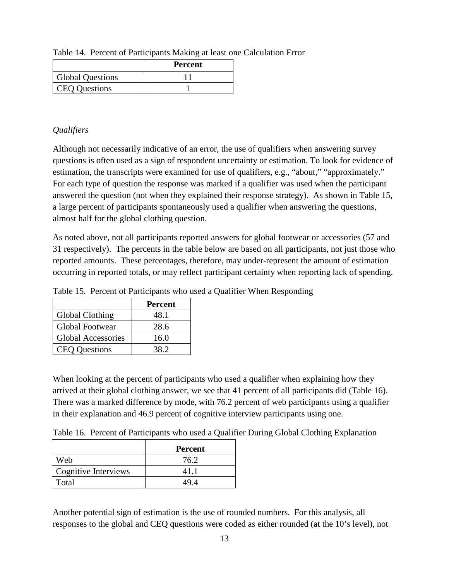|                         | <b>Percent</b> |
|-------------------------|----------------|
| <b>Global Questions</b> |                |
| <b>CEQ Questions</b>    |                |

Table 14. Percent of Participants Making at least one Calculation Error

## *Qualifiers*

Although not necessarily indicative of an error, the use of qualifiers when answering survey questions is often used as a sign of respondent uncertainty or estimation. To look for evidence of estimation, the transcripts were examined for use of qualifiers, e.g., "about," "approximately." For each type of question the response was marked if a qualifier was used when the participant answered the question (not when they explained their response strategy). As shown in Table 15, a large percent of participants spontaneously used a qualifier when answering the questions, almost half for the global clothing question.

As noted above, not all participants reported answers for global footwear or accessories (57 and 31 respectively). The percents in the table below are based on all participants, not just those who reported amounts. These percentages, therefore, may under-represent the amount of estimation occurring in reported totals, or may reflect participant certainty when reporting lack of spending.

|                           | <b>Percent</b> |
|---------------------------|----------------|
| Global Clothing           | 48.1           |
| <b>Global Footwear</b>    | 28.6           |
| <b>Global Accessories</b> | 16.0           |
| <b>CEQ Questions</b>      | 38.2           |

Table 15. Percent of Participants who used a Qualifier When Responding

When looking at the percent of participants who used a qualifier when explaining how they arrived at their global clothing answer, we see that 41 percent of all participants did (Table 16). There was a marked difference by mode, with 76.2 percent of web participants using a qualifier in their explanation and 46.9 percent of cognitive interview participants using one.

Table 16. Percent of Participants who used a Qualifier During Global Clothing Explanation

|                      | <b>Percent</b> |
|----------------------|----------------|
| Web                  | 76.2           |
| Cognitive Interviews | 411            |
| Total                | 49 A           |

Another potential sign of estimation is the use of rounded numbers. For this analysis, all responses to the global and CEQ questions were coded as either rounded (at the 10's level), not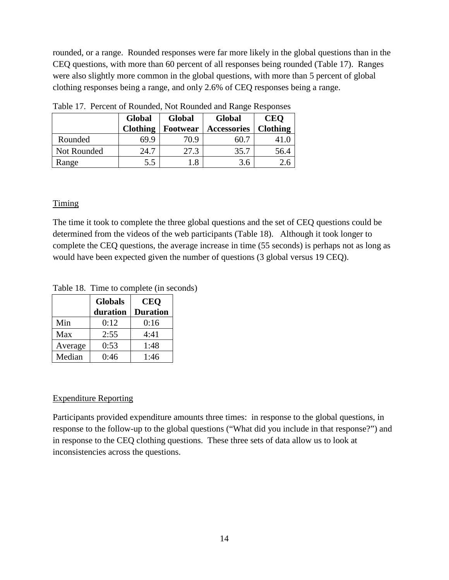rounded, or a range. Rounded responses were far more likely in the global questions than in the CEQ questions, with more than 60 percent of all responses being rounded (Table 17). Ranges were also slightly more common in the global questions, with more than 5 percent of global clothing responses being a range, and only 2.6% of CEQ responses being a range.

| Tuest 177 Telecht of Hounded, 1900 Hounded and Hunge Heopolises |                                |                 |             |                 |
|-----------------------------------------------------------------|--------------------------------|-----------------|-------------|-----------------|
|                                                                 | <b>Global</b><br><b>Global</b> |                 | Global      |                 |
|                                                                 | <b>Clothing</b>                | <b>Footwear</b> | Accessories | <b>Clothing</b> |
| Rounded                                                         | 69.9                           | 70.9            | 60.7        | 41.0            |
| Not Rounded                                                     | 24.7                           | 27.3            | 35.7        | 56.4            |
| Range                                                           | 5.5                            | 1.8             | 3.6         | 2.6             |

Table 17. Percent of Rounded, Not Rounded and Range Responses

## **Timing**

The time it took to complete the three global questions and the set of CEQ questions could be determined from the videos of the web participants (Table 18). Although it took longer to complete the CEQ questions, the average increase in time (55 seconds) is perhaps not as long as would have been expected given the number of questions (3 global versus 19 CEQ).

Table 18. Time to complete (in seconds)

|         | <b>Globals</b> | <b>CEO</b>      |
|---------|----------------|-----------------|
|         | duration       | <b>Duration</b> |
| Min     | 0:12           | 0:16            |
| Max     | 2:55           | 4:41            |
| Average | 0:53           | 1:48            |
| Median  | 0:46           | 1:46            |

#### Expenditure Reporting

Participants provided expenditure amounts three times: in response to the global questions, in response to the follow-up to the global questions ("What did you include in that response?") and in response to the CEQ clothing questions. These three sets of data allow us to look at inconsistencies across the questions.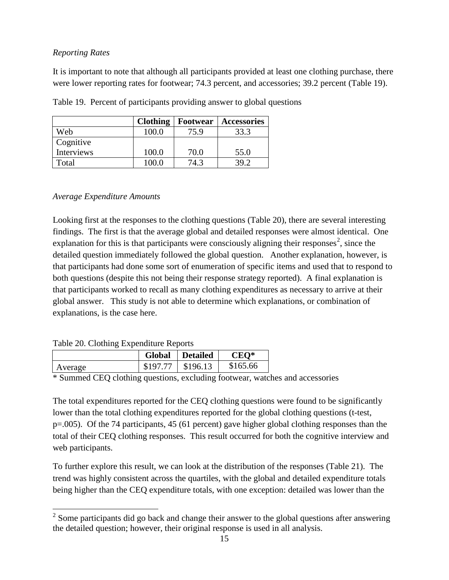#### *Reporting Rates*

It is important to note that although all participants provided at least one clothing purchase, there were lower reporting rates for footwear; 74.3 percent, and accessories; 39.2 percent (Table 19).

|            | <b>Clothing</b> | <b>Footwear</b> | Accessories |
|------------|-----------------|-----------------|-------------|
| Web        | 100.0           | 75.9            | 33.3        |
| Cognitive  |                 |                 |             |
| Interviews | 100.0           | 70.0            | 55.0        |
| Total      | 100 O           | 74.3            | 39 Z        |

Table 19. Percent of participants providing answer to global questions

## *Average Expenditure Amounts*

Looking first at the responses to the clothing questions (Table 20), there are several interesting findings. The first is that the average global and detailed responses were almost identical. One explanation for this is that participants were consciously aligning their responses<sup>[2](#page-14-0)</sup>, since the detailed question immediately followed the global question. Another explanation, however, is that participants had done some sort of enumeration of specific items and used that to respond to both questions (despite this not being their response strategy reported). A final explanation is that participants worked to recall as many clothing expenditures as necessary to arrive at their global answer. This study is not able to determine which explanations, or combination of explanations, is the case here.

 $\overline{a}$ 

|         | <b>Global</b> | <b>Detailed</b> | $CEO*$   |
|---------|---------------|-----------------|----------|
| Average | $$19777$      | \$196.13        | \$165.66 |

\* Summed CEQ clothing questions, excluding footwear, watches and accessories

The total expenditures reported for the CEQ clothing questions were found to be significantly lower than the total clothing expenditures reported for the global clothing questions (t-test, p=.005). Of the 74 participants, 45 (61 percent) gave higher global clothing responses than the total of their CEQ clothing responses. This result occurred for both the cognitive interview and web participants.

To further explore this result, we can look at the distribution of the responses (Table 21). The trend was highly consistent across the quartiles, with the global and detailed expenditure totals being higher than the CEQ expenditure totals, with one exception: detailed was lower than the

<span id="page-14-0"></span> $2^2$  Some participants did go back and change their answer to the global questions after answering the detailed question; however, their original response is used in all analysis.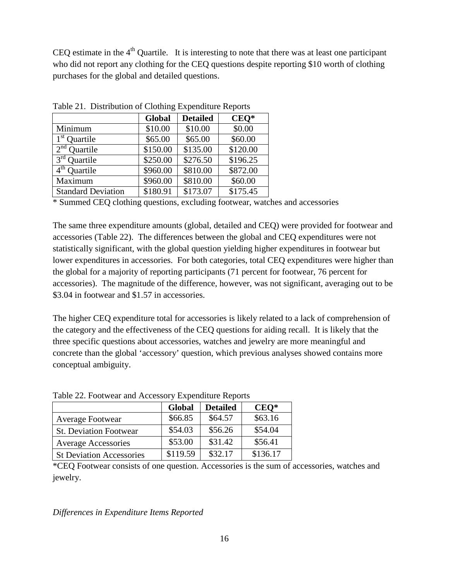CEO estimate in the  $4<sup>th</sup>$  Quartile. It is interesting to note that there was at least one participant who did not report any clothing for the CEQ questions despite reporting \$10 worth of clothing purchases for the global and detailed questions.

| $\frac{1}{2}$ and $\frac{1}{2}$ . Distribution of Clothing Expenditure Reports |          |                 |          |  |
|--------------------------------------------------------------------------------|----------|-----------------|----------|--|
|                                                                                | Global   | <b>Detailed</b> | $CEO*$   |  |
| Minimum                                                                        | \$10.00  | \$10.00         | \$0.00   |  |
| $1st$ Quartile                                                                 | \$65.00  | \$65.00         | \$60.00  |  |
| $2nd$ Quartile                                                                 | \$150.00 | \$135.00        | \$120.00 |  |
| $3rd$ Ouartile                                                                 | \$250.00 | \$276.50        | \$196.25 |  |
| $4th$ Ouartile                                                                 | \$960.00 | \$810.00        | \$872.00 |  |
| Maximum                                                                        | \$960.00 | \$810.00        | \$60.00  |  |
| <b>Standard Deviation</b>                                                      | \$180.91 | \$173.07        | \$175.45 |  |

Table 21. Distribution of Clothing Expenditure Reports

\* Summed CEQ clothing questions, excluding footwear, watches and accessories

The same three expenditure amounts (global, detailed and CEQ) were provided for footwear and accessories (Table 22). The differences between the global and CEQ expenditures were not statistically significant, with the global question yielding higher expenditures in footwear but lower expenditures in accessories. For both categories, total CEQ expenditures were higher than the global for a majority of reporting participants (71 percent for footwear, 76 percent for accessories). The magnitude of the difference, however, was not significant, averaging out to be \$3.04 in footwear and \$1.57 in accessories.

The higher CEQ expenditure total for accessories is likely related to a lack of comprehension of the category and the effectiveness of the CEQ questions for aiding recall. It is likely that the three specific questions about accessories, watches and jewelry are more meaningful and concrete than the global 'accessory' question, which previous analyses showed contains more conceptual ambiguity.

| $1.0014$ and $1.000$ and $2.000$ and $2.000$ and $2.000$ and $2.000$ and $2.000$ |               |                 |          |  |
|----------------------------------------------------------------------------------|---------------|-----------------|----------|--|
|                                                                                  | <b>Global</b> | <b>Detailed</b> | $CEO*$   |  |
| <b>Average Footwear</b>                                                          | \$66.85       | \$64.57         | \$63.16  |  |
| <b>St. Deviation Footwear</b>                                                    | \$54.03       | \$56.26         | \$54.04  |  |
| <b>Average Accessories</b>                                                       | \$53.00       | \$31.42         | \$56.41  |  |
| <b>St Deviation Accessories</b>                                                  | \$119.59      | \$32.17         | \$136.17 |  |

Table 22. Footwear and Accessory Expenditure Reports

\*CEQ Footwear consists of one question. Accessories is the sum of accessories, watches and jewelry.

*Differences in Expenditure Items Reported*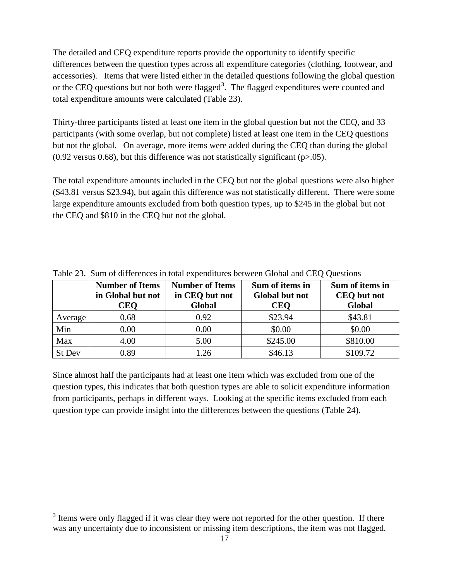The detailed and CEQ expenditure reports provide the opportunity to identify specific differences between the question types across all expenditure categories (clothing, footwear, and accessories). Items that were listed either in the detailed questions following the global question or the CEQ questions but not both were flagged<sup>[3](#page-16-0)</sup>. The flagged expenditures were counted and total expenditure amounts were calculated (Table 23).

Thirty-three participants listed at least one item in the global question but not the CEQ, and 33 participants (with some overlap, but not complete) listed at least one item in the CEQ questions but not the global. On average, more items were added during the CEQ than during the global  $(0.92 \text{ versus } 0.68)$ , but this difference was not statistically significant (p>.05).

The total expenditure amounts included in the CEQ but not the global questions were also higher (\$43.81 versus \$23.94), but again this difference was not statistically different. There were some large expenditure amounts excluded from both question types, up to \$245 in the global but not the CEQ and \$810 in the CEQ but not the global.

|         | <b>Number of Items</b><br>in Global but not<br><b>CEQ</b> | <b>Number of Items</b><br>in CEQ but not<br>Global | Sum of items in<br><b>Global but not</b><br><b>CEQ</b> | Sum of items in<br><b>CEQ</b> but not<br>Global |
|---------|-----------------------------------------------------------|----------------------------------------------------|--------------------------------------------------------|-------------------------------------------------|
| Average | 0.68                                                      | 0.92                                               | \$23.94                                                | \$43.81                                         |
| Min     | 0.00                                                      | 0.00                                               | \$0.00                                                 | \$0.00                                          |
| Max     | 4.00                                                      | 5.00                                               | \$245.00                                               | \$810.00                                        |
| St Dev  | 0.89                                                      | 1.26                                               | \$46.13                                                | \$109.72                                        |

Table 23. Sum of differences in total expenditures between Global and CEQ Questions

Since almost half the participants had at least one item which was excluded from one of the question types, this indicates that both question types are able to solicit expenditure information from participants, perhaps in different ways. Looking at the specific items excluded from each question type can provide insight into the differences between the questions (Table 24).

 $\overline{a}$ 

<span id="page-16-0"></span> $3$  Items were only flagged if it was clear they were not reported for the other question. If there was any uncertainty due to inconsistent or missing item descriptions, the item was not flagged.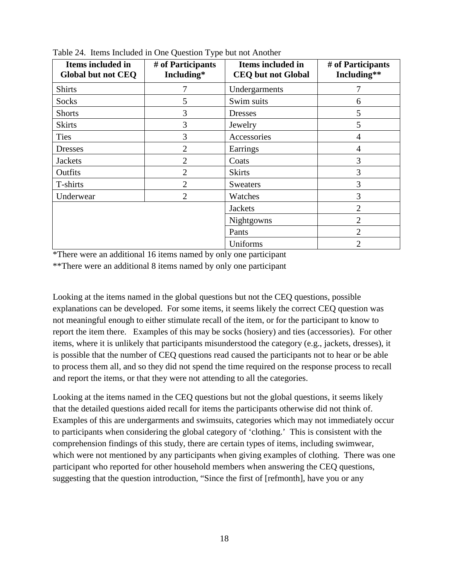| Items included in<br>Global but not CEQ | # of Participants<br>Including* | Items included in<br><b>CEQ</b> but not Global | # of Participants<br>Including** |
|-----------------------------------------|---------------------------------|------------------------------------------------|----------------------------------|
| <b>Shirts</b>                           | 7                               | Undergarments                                  | 7                                |
| Socks                                   | 5                               | Swim suits                                     | 6                                |
| <b>Shorts</b>                           | 3                               | <b>Dresses</b>                                 | 5                                |
| <b>Skirts</b>                           | 3                               | Jewelry                                        | 5                                |
| <b>Ties</b>                             | 3                               | Accessories                                    | 4                                |
| <b>Dresses</b>                          | $\overline{2}$                  | Earrings                                       | $\overline{4}$                   |
| <b>Jackets</b>                          | $\overline{2}$                  | Coats                                          | 3                                |
| Outfits                                 | $\overline{2}$                  | <b>Skirts</b>                                  | 3                                |
| T-shirts                                | $\overline{2}$                  | <b>Sweaters</b>                                | 3                                |
| Underwear                               | $\overline{2}$                  | Watches                                        | 3                                |
|                                         |                                 | <b>Jackets</b>                                 | $\overline{2}$                   |
|                                         |                                 | Nightgowns                                     | $\overline{2}$                   |
|                                         |                                 | Pants                                          | $\overline{2}$                   |
|                                         |                                 | Uniforms                                       | $\overline{2}$                   |

Table 24. Items Included in One Question Type but not Another

\*There were an additional 16 items named by only one participant

\*\*There were an additional 8 items named by only one participant

Looking at the items named in the global questions but not the CEQ questions, possible explanations can be developed. For some items, it seems likely the correct CEQ question was not meaningful enough to either stimulate recall of the item, or for the participant to know to report the item there. Examples of this may be socks (hosiery) and ties (accessories). For other items, where it is unlikely that participants misunderstood the category (e.g., jackets, dresses), it is possible that the number of CEQ questions read caused the participants not to hear or be able to process them all, and so they did not spend the time required on the response process to recall and report the items, or that they were not attending to all the categories.

Looking at the items named in the CEQ questions but not the global questions, it seems likely that the detailed questions aided recall for items the participants otherwise did not think of. Examples of this are undergarments and swimsuits, categories which may not immediately occur to participants when considering the global category of 'clothing.' This is consistent with the comprehension findings of this study, there are certain types of items, including swimwear, which were not mentioned by any participants when giving examples of clothing. There was one participant who reported for other household members when answering the CEQ questions, suggesting that the question introduction, "Since the first of [refmonth], have you or any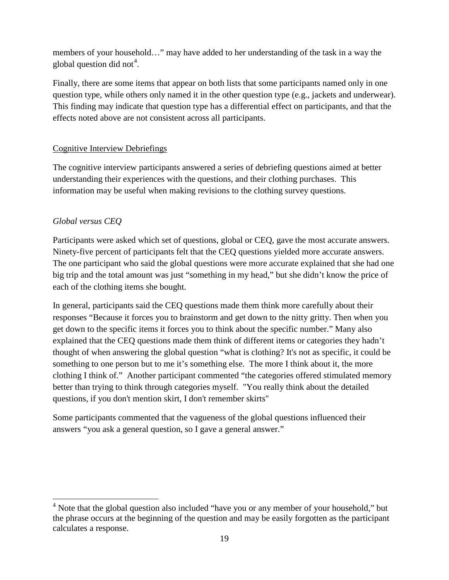members of your household…" may have added to her understanding of the task in a way the global question did not<sup>[4](#page-18-0)</sup>.

Finally, there are some items that appear on both lists that some participants named only in one question type, while others only named it in the other question type (e.g., jackets and underwear). This finding may indicate that question type has a differential effect on participants, and that the effects noted above are not consistent across all participants.

# Cognitive Interview Debriefings

The cognitive interview participants answered a series of debriefing questions aimed at better understanding their experiences with the questions, and their clothing purchases. This information may be useful when making revisions to the clothing survey questions.

# *Global versus CEQ*

 $\overline{a}$ 

Participants were asked which set of questions, global or CEQ, gave the most accurate answers. Ninety-five percent of participants felt that the CEQ questions yielded more accurate answers. The one participant who said the global questions were more accurate explained that she had one big trip and the total amount was just "something in my head," but she didn't know the price of each of the clothing items she bought.

In general, participants said the CEQ questions made them think more carefully about their responses "Because it forces you to brainstorm and get down to the nitty gritty. Then when you get down to the specific items it forces you to think about the specific number." Many also explained that the CEQ questions made them think of different items or categories they hadn't thought of when answering the global question "what is clothing? It's not as specific, it could be something to one person but to me it's something else. The more I think about it, the more clothing I think of." Another participant commented "the categories offered stimulated memory better than trying to think through categories myself. "You really think about the detailed questions, if you don't mention skirt, I don't remember skirts"

Some participants commented that the vagueness of the global questions influenced their answers "you ask a general question, so I gave a general answer."

<span id="page-18-0"></span><sup>&</sup>lt;sup>4</sup> Note that the global question also included "have you or any member of your household," but the phrase occurs at the beginning of the question and may be easily forgotten as the participant calculates a response.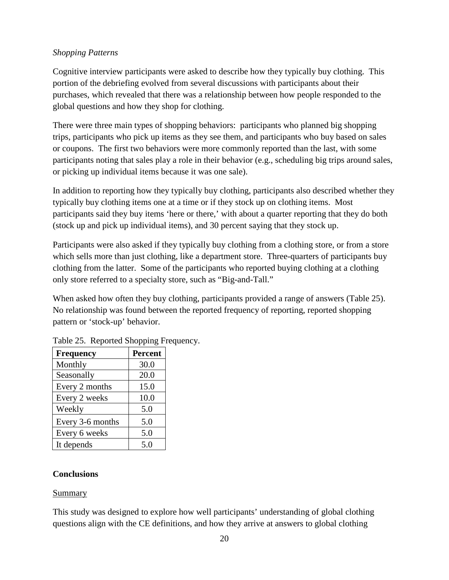## *Shopping Patterns*

Cognitive interview participants were asked to describe how they typically buy clothing. This portion of the debriefing evolved from several discussions with participants about their purchases, which revealed that there was a relationship between how people responded to the global questions and how they shop for clothing.

There were three main types of shopping behaviors: participants who planned big shopping trips, participants who pick up items as they see them, and participants who buy based on sales or coupons. The first two behaviors were more commonly reported than the last, with some participants noting that sales play a role in their behavior (e.g., scheduling big trips around sales, or picking up individual items because it was one sale).

In addition to reporting how they typically buy clothing, participants also described whether they typically buy clothing items one at a time or if they stock up on clothing items. Most participants said they buy items 'here or there,' with about a quarter reporting that they do both (stock up and pick up individual items), and 30 percent saying that they stock up.

Participants were also asked if they typically buy clothing from a clothing store, or from a store which sells more than just clothing, like a department store. Three-quarters of participants buy clothing from the latter. Some of the participants who reported buying clothing at a clothing only store referred to a specialty store, such as "Big-and-Tall."

When asked how often they buy clothing, participants provided a range of answers (Table 25). No relationship was found between the reported frequency of reporting, reported shopping pattern or 'stock-up' behavior.

| <b>Frequency</b> | <b>Percent</b> |
|------------------|----------------|
| Monthly          | 30.0           |
| Seasonally       | 20.0           |
| Every 2 months   | 15.0           |
| Every 2 weeks    | 10.0           |
| Weekly           | 5.0            |
| Every 3-6 months | 5.0            |
| Every 6 weeks    | 5.0            |
| It depends       | 5.0            |

Table 25. Reported Shopping Frequency.

#### **Conclusions**

#### Summary

This study was designed to explore how well participants' understanding of global clothing questions align with the CE definitions, and how they arrive at answers to global clothing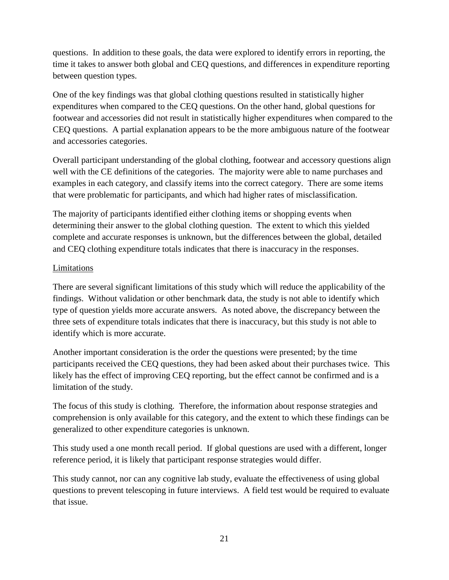questions. In addition to these goals, the data were explored to identify errors in reporting, the time it takes to answer both global and CEQ questions, and differences in expenditure reporting between question types.

One of the key findings was that global clothing questions resulted in statistically higher expenditures when compared to the CEQ questions. On the other hand, global questions for footwear and accessories did not result in statistically higher expenditures when compared to the CEQ questions. A partial explanation appears to be the more ambiguous nature of the footwear and accessories categories.

Overall participant understanding of the global clothing, footwear and accessory questions align well with the CE definitions of the categories. The majority were able to name purchases and examples in each category, and classify items into the correct category. There are some items that were problematic for participants, and which had higher rates of misclassification.

The majority of participants identified either clothing items or shopping events when determining their answer to the global clothing question. The extent to which this yielded complete and accurate responses is unknown, but the differences between the global, detailed and CEQ clothing expenditure totals indicates that there is inaccuracy in the responses.

## Limitations

There are several significant limitations of this study which will reduce the applicability of the findings. Without validation or other benchmark data, the study is not able to identify which type of question yields more accurate answers. As noted above, the discrepancy between the three sets of expenditure totals indicates that there is inaccuracy, but this study is not able to identify which is more accurate.

Another important consideration is the order the questions were presented; by the time participants received the CEQ questions, they had been asked about their purchases twice. This likely has the effect of improving CEQ reporting, but the effect cannot be confirmed and is a limitation of the study.

The focus of this study is clothing. Therefore, the information about response strategies and comprehension is only available for this category, and the extent to which these findings can be generalized to other expenditure categories is unknown.

This study used a one month recall period. If global questions are used with a different, longer reference period, it is likely that participant response strategies would differ.

This study cannot, nor can any cognitive lab study, evaluate the effectiveness of using global questions to prevent telescoping in future interviews. A field test would be required to evaluate that issue.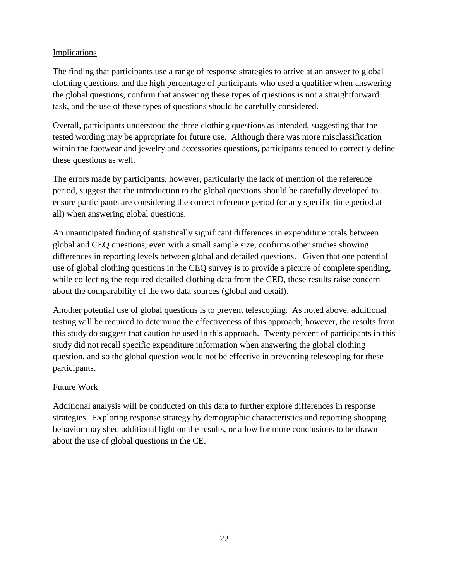# Implications

The finding that participants use a range of response strategies to arrive at an answer to global clothing questions, and the high percentage of participants who used a qualifier when answering the global questions, confirm that answering these types of questions is not a straightforward task, and the use of these types of questions should be carefully considered.

Overall, participants understood the three clothing questions as intended, suggesting that the tested wording may be appropriate for future use. Although there was more misclassification within the footwear and jewelry and accessories questions, participants tended to correctly define these questions as well.

The errors made by participants, however, particularly the lack of mention of the reference period, suggest that the introduction to the global questions should be carefully developed to ensure participants are considering the correct reference period (or any specific time period at all) when answering global questions.

An unanticipated finding of statistically significant differences in expenditure totals between global and CEQ questions, even with a small sample size, confirms other studies showing differences in reporting levels between global and detailed questions. Given that one potential use of global clothing questions in the CEQ survey is to provide a picture of complete spending, while collecting the required detailed clothing data from the CED, these results raise concern about the comparability of the two data sources (global and detail).

Another potential use of global questions is to prevent telescoping. As noted above, additional testing will be required to determine the effectiveness of this approach; however, the results from this study do suggest that caution be used in this approach. Twenty percent of participants in this study did not recall specific expenditure information when answering the global clothing question, and so the global question would not be effective in preventing telescoping for these participants.

## Future Work

Additional analysis will be conducted on this data to further explore differences in response strategies. Exploring response strategy by demographic characteristics and reporting shopping behavior may shed additional light on the results, or allow for more conclusions to be drawn about the use of global questions in the CE.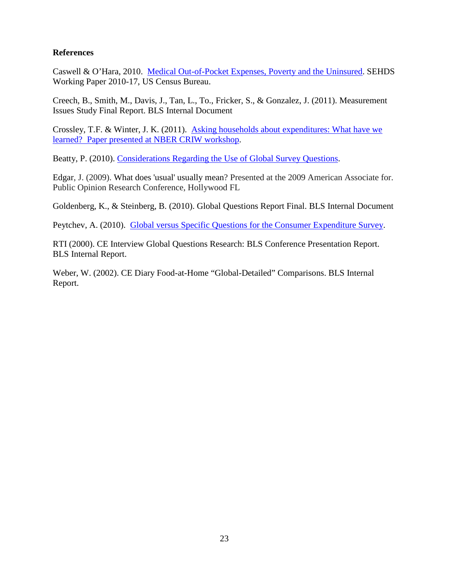#### **References**

Caswell & O'Hara, 2010. [Medical Out-of-Pocket Expenses, Poverty and the Uninsured.](http://www.census.gov/hhes/povmeas/methodology/supplemental/research/Caswell-OHara-SGE2011.pdf) SEHDS Working Paper 2010-17, US Census Bureau.

Creech, B., Smith, M., Davis, J., Tan, L., To., Fricker, S., & Gonzalez, J. (2011). Measurement Issues Study Final Report. BLS Internal Document

Crossley, T.F. & Winter, J. K. (2011). [Asking households about expenditures: What have we](http://www.nber.org/confer/2011/CRIWf11/Crossley_Winter.pdf)  [learned? Paper presented at NBER CRIW workshop.](http://www.nber.org/confer/2011/CRIWf11/Crossley_Winter.pdf)

Beatty, P. (2010). [Considerations Regarding the Use of Global Survey Questions.](http://www.bls.gov/cex/methwrkshp_pap_beatty.pdf)

Edgar, J. (2009). What does 'usual' usually mean? Presented at the 2009 American Associate for. Public Opinion Research Conference, Hollywood FL

Goldenberg, K., & Steinberg, B. (2010). Global Questions Report Final. BLS Internal Document

Peytchev, A. (2010). [Global versus Specific Questions for the Consumer Expenditure Survey.](http://www.bls.gov/cex/methwrkshp_pap_peytchev.pdf)

RTI (2000). CE Interview Global Questions Research: BLS Conference Presentation Report. BLS Internal Report.

Weber, W. (2002). CE Diary Food-at-Home "Global-Detailed" Comparisons. BLS Internal Report.